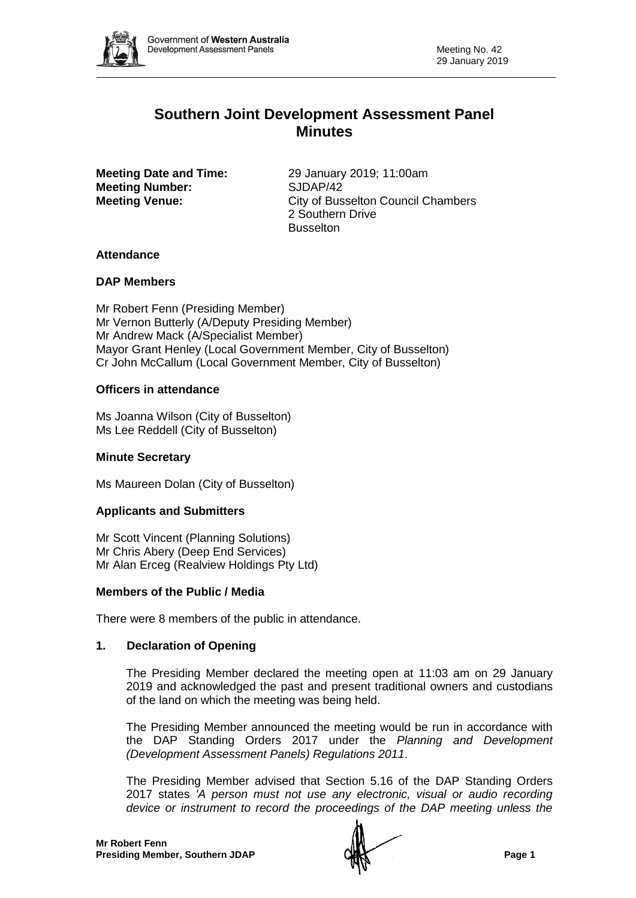

# **Southern Joint Development Assessment Panel Minutes**

**Meeting Number:** SJDAP/42

**Meeting Date and Time:** 29 January 2019; 11:00am **Meeting Venue:** City of Busselton Council Chambers 2 Southern Drive Busselton

# **Attendance**

# **DAP Members**

Mr Robert Fenn (Presiding Member) Mr Vernon Butterly (A/Deputy Presiding Member) Mr Andrew Mack (A/Specialist Member) Mayor Grant Henley (Local Government Member, City of Busselton) Cr John McCallum (Local Government Member, City of Busselton)

# **Officers in attendance**

Ms Joanna Wilson (City of Busselton) Ms Lee Reddell (City of Busselton)

# **Minute Secretary**

Ms Maureen Dolan (City of Busselton)

# **Applicants and Submitters**

Mr Scott Vincent (Planning Solutions) Mr Chris Abery (Deep End Services) Mr Alan Erceg (Realview Holdings Pty Ltd)

# **Members of the Public / Media**

There were 8 members of the public in attendance.

# **1. Declaration of Opening**

The Presiding Member declared the meeting open at 11:03 am on 29 January 2019 and acknowledged the past and present traditional owners and custodians of the land on which the meeting was being held.

The Presiding Member announced the meeting would be run in accordance with the DAP Standing Orders 2017 under the *Planning and Development (Development Assessment Panels) Regulations 2011*.

The Presiding Member advised that Section 5.16 of the DAP Standing Orders 2017 states *'A person must not use any electronic, visual or audio recording device or instrument to record the proceedings of the DAP meeting unless the*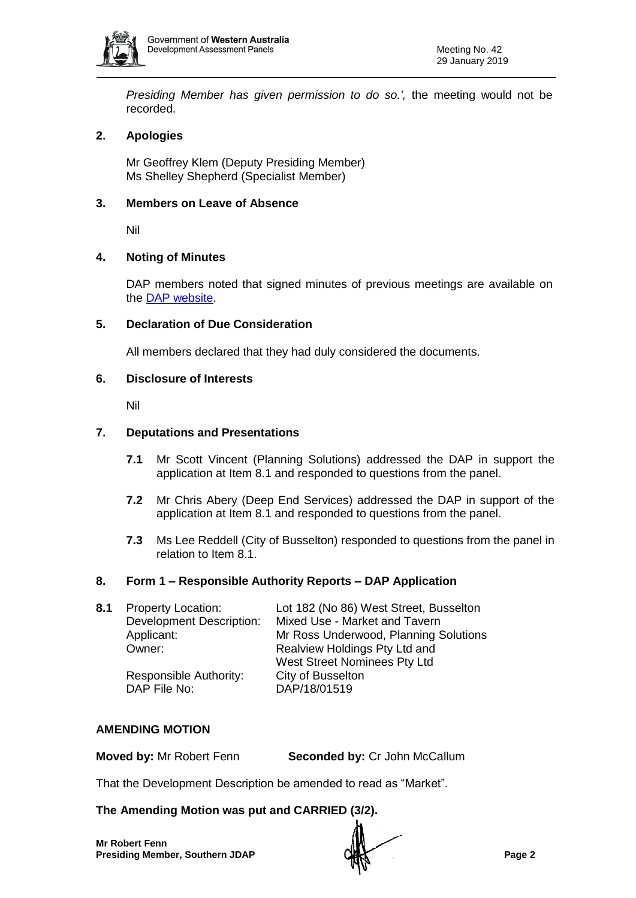

*Presiding Member has given permission to do so.',* the meeting would not be recorded.

# **2. Apologies**

Mr Geoffrey Klem (Deputy Presiding Member) Ms Shelley Shepherd (Specialist Member)

## **3. Members on Leave of Absence**

Nil

#### **4. Noting of Minutes**

DAP members noted that signed minutes of previous meetings are available on the [DAP website.](https://www.dplh.wa.gov.au/about/development-assessment-panels/daps-agendas-and-minutes)

#### **5. Declaration of Due Consideration**

All members declared that they had duly considered the documents.

#### **6. Disclosure of Interests**

Nil

#### **7. Deputations and Presentations**

- **7.1** Mr Scott Vincent (Planning Solutions) addressed the DAP in support the application at Item 8.1 and responded to questions from the panel.
- **7.2** Mr Chris Abery (Deep End Services) addressed the DAP in support of the application at Item 8.1 and responded to questions from the panel.
- **7.3** Ms Lee Reddell (City of Busselton) responded to questions from the panel in relation to Item 8.1.

#### **8. Form 1 – Responsible Authority Reports – DAP Application**

| 8.1 | <b>Property Location:</b>       | Lot 182 (No 86) West Street, Busselton |
|-----|---------------------------------|----------------------------------------|
|     | <b>Development Description:</b> | Mixed Use - Market and Tavern          |
|     | Applicant:                      | Mr Ross Underwood, Planning Solutions  |
|     | Owner:                          | Realview Holdings Pty Ltd and          |
|     |                                 | West Street Nominees Pty Ltd           |
|     | Responsible Authority:          | City of Busselton                      |
|     | DAP File No:                    | DAP/18/01519                           |
|     |                                 |                                        |

#### **AMENDING MOTION**

**Moved by:** Mr Robert Fenn **Seconded by:** Cr John McCallum

That the Development Description be amended to read as "Market".

**The Amending Motion was put and CARRIED (3/2).**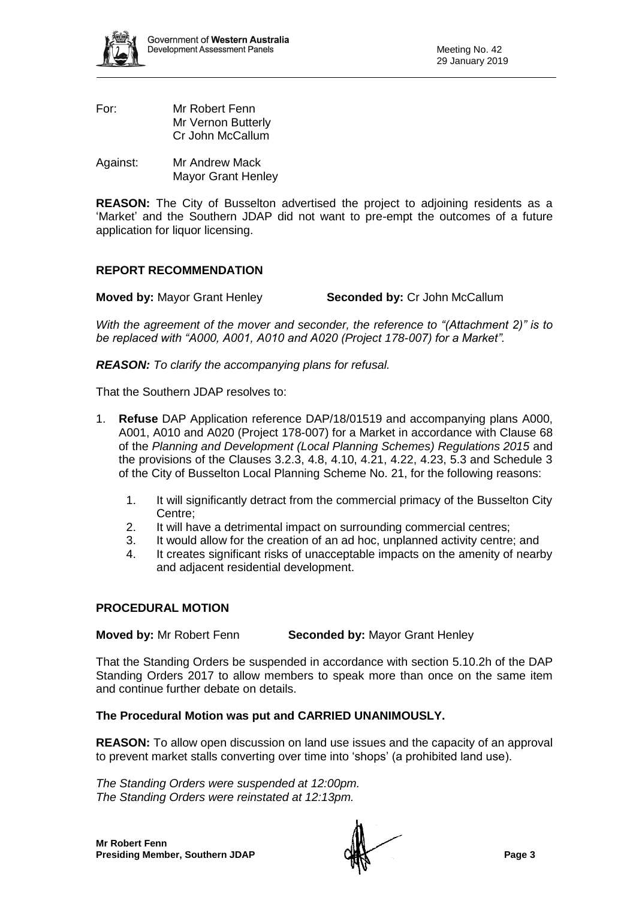

- For: Mr Robert Fenn Mr Vernon Butterly Cr John McCallum
- Against: Mr Andrew Mack Mayor Grant Henley

**REASON:** The City of Busselton advertised the project to adjoining residents as a 'Market' and the Southern JDAP did not want to pre-empt the outcomes of a future application for liquor licensing.

# **REPORT RECOMMENDATION**

**Moved by:** Mayor Grant Henley **Seconded by:** Cr John McCallum

*With the agreement of the mover and seconder, the reference to "(Attachment 2)" is to be replaced with "A000, A001, A010 and A020 (Project 178-007) for a Market".* 

*REASON: To clarify the accompanying plans for refusal.*

That the Southern JDAP resolves to:

- 1. **Refuse** DAP Application reference DAP/18/01519 and accompanying plans A000, A001, A010 and A020 (Project 178-007) for a Market in accordance with Clause 68 of the *Planning and Development (Local Planning Schemes) Regulations 2015* and the provisions of the Clauses 3.2.3, 4.8, 4.10, 4.21, 4.22, 4.23, 5.3 and Schedule 3 of the City of Busselton Local Planning Scheme No. 21, for the following reasons:
	- 1. It will significantly detract from the commercial primacy of the Busselton City Centre;
	- 2. It will have a detrimental impact on surrounding commercial centres;
	- 3. It would allow for the creation of an ad hoc, unplanned activity centre; and
	- 4. It creates significant risks of unacceptable impacts on the amenity of nearby and adjacent residential development.

# **PROCEDURAL MOTION**

**Moved by:** Mr Robert Fenn **Seconded by:** Mayor Grant Henley

That the Standing Orders be suspended in accordance with section 5.10.2h of the DAP Standing Orders 2017 to allow members to speak more than once on the same item and continue further debate on details.

# **The Procedural Motion was put and CARRIED UNANIMOUSLY.**

**REASON:** To allow open discussion on land use issues and the capacity of an approval to prevent market stalls converting over time into 'shops' (a prohibited land use).

*The Standing Orders were suspended at 12:00pm. The Standing Orders were reinstated at 12:13pm.*